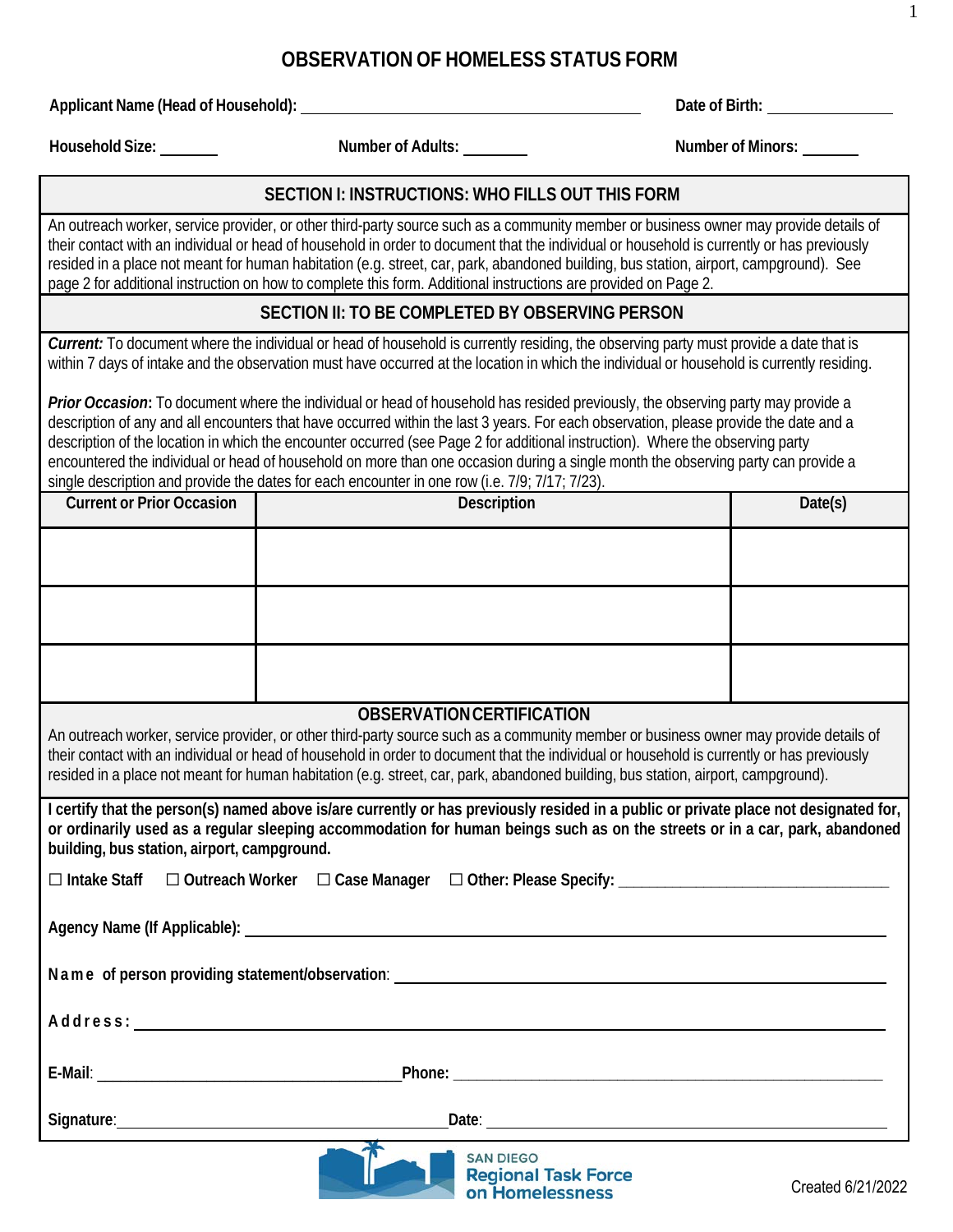# **OBSERVATION OF HOMELESS STATUS FORM**

**Applicant Name (Head of Household): Date of Birth:**

**Household Size: Number of Adults: Number of Minors:**

1

#### **SECTION I: INSTRUCTIONS: WHO FILLS OUT THIS FORM**

An outreach worker, service provider, or other third-party source such as a community member or business owner may provide details of their contact with an individual or head of household in order to document that the individual or household is currently or has previously resided in a place not meant for human habitation (e.g. street, car, park, abandoned building, bus station, airport, campground). See page 2 for additional instruction on how to complete this form. Additional instructions are provided on Page 2.

### **SECTION II: TO BE COMPLETED BY OBSERVING PERSON**

*Current:* To document where the individual or head of household is currently residing, the observing party must provide a date that is within 7 days of intake and the observation must have occurred at the location in which the individual or household is currently residing.

**Prior Occasion:** To document where the individual or head of household has resided previously, the observing party may provide a description of any and all encounters that have occurred within the last 3 years. For each observation, please provide the date and a description of the location in which the encounter occurred (see Page 2 for additional instruction). Where the observing party encountered the individual or head of household on more than one occasion during a single month the observing party can provide a single description and provide the dates for each encounter in one row (i.e. 7/9; 7/17; 7/23).

| <b>Current or Prior Occasion</b> | Description | Date(s) |
|----------------------------------|-------------|---------|
|                                  |             |         |
|                                  |             |         |
|                                  |             |         |

#### **OBSERVATIONCERTIFICATION**

An outreach worker, service provider, or other third-party source such as a community member or business owner may provide details of their contact with an individual or head of household in order to document that the individual or household is currently or has previously resided in a place not meant for human habitation (e.g. street, car, park, abandoned building, bus station, airport, campground).

I certify that the person(s) named above is/are currently or has previously resided in a public or private place not designated for, or ordinarily used as a regular sleeping accommodation for human beings such as on the streets or in a car, park, abandoned **building, bus station, airport, campground.**

|  |  |  | $\Box$ Intake Staff $\Box$ Outreach Worker $\Box$ Case Manager $\Box$ Other: Please Specify: |  |
|--|--|--|----------------------------------------------------------------------------------------------|--|
|--|--|--|----------------------------------------------------------------------------------------------|--|

**Agency Name (If Applicable):**

**Name of person providing statement/observation**:

**Address :** 

**E-Mail**: \_\_\_\_\_\_\_\_\_\_\_\_\_\_\_\_\_\_\_\_\_\_\_\_\_\_\_\_\_\_\_\_\_\_\_\_\_\_\_**Phone: \_\_\_\_\_\_\_\_\_\_\_\_\_\_\_\_\_\_\_\_\_\_\_\_\_\_\_\_\_\_\_\_\_\_\_\_\_\_\_\_\_\_\_\_\_\_\_\_\_\_\_\_\_\_\_**



Signature: **Date: Date: Date: Date: Date: Date: Date: Date: Date: Date: Date: Date: Date: Date: Date: Date: Date: Date: Date: Date: Date: Date: Date: Date: Date: Date: Da**